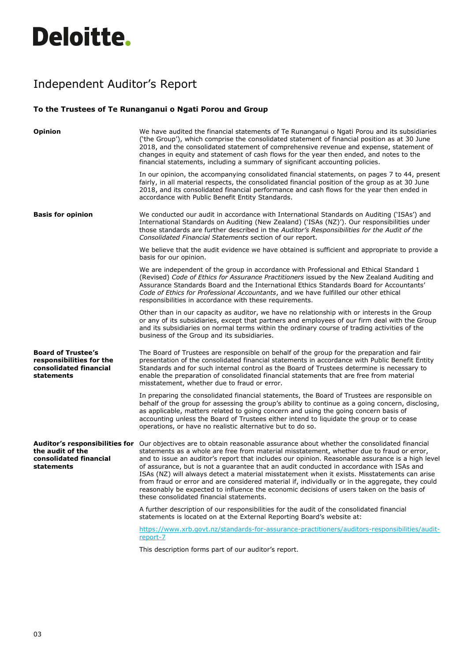## **Deloitte.**

## Independent Auditor's Report

## **To the Trustees of Te Runanganui o Ngati Porou and Group**

| <b>Opinion</b>                                                                                | We have audited the financial statements of Te Runanganui o Ngati Porou and its subsidiaries<br>('the Group'), which comprise the consolidated statement of financial position as at 30 June<br>2018, and the consolidated statement of comprehensive revenue and expense, statement of<br>changes in equity and statement of cash flows for the year then ended, and notes to the<br>financial statements, including a summary of significant accounting policies.                                                                                                                                                                                                                                                                                                 |
|-----------------------------------------------------------------------------------------------|---------------------------------------------------------------------------------------------------------------------------------------------------------------------------------------------------------------------------------------------------------------------------------------------------------------------------------------------------------------------------------------------------------------------------------------------------------------------------------------------------------------------------------------------------------------------------------------------------------------------------------------------------------------------------------------------------------------------------------------------------------------------|
|                                                                                               | In our opinion, the accompanying consolidated financial statements, on pages 7 to 44, present<br>fairly, in all material respects, the consolidated financial position of the group as at 30 June<br>2018, and its consolidated financial performance and cash flows for the year then ended in<br>accordance with Public Benefit Entity Standards.                                                                                                                                                                                                                                                                                                                                                                                                                 |
| <b>Basis for opinion</b>                                                                      | We conducted our audit in accordance with International Standards on Auditing ('ISAs') and<br>International Standards on Auditing (New Zealand) ('ISAs (NZ)'). Our responsibilities under<br>those standards are further described in the Auditor's Responsibilities for the Audit of the<br>Consolidated Financial Statements section of our report.                                                                                                                                                                                                                                                                                                                                                                                                               |
|                                                                                               | We believe that the audit evidence we have obtained is sufficient and appropriate to provide a<br>basis for our opinion.                                                                                                                                                                                                                                                                                                                                                                                                                                                                                                                                                                                                                                            |
|                                                                                               | We are independent of the group in accordance with Professional and Ethical Standard 1<br>(Revised) Code of Ethics for Assurance Practitioners issued by the New Zealand Auditing and<br>Assurance Standards Board and the International Ethics Standards Board for Accountants'<br>Code of Ethics for Professional Accountants, and we have fulfilled our other ethical<br>responsibilities in accordance with these requirements.                                                                                                                                                                                                                                                                                                                                 |
|                                                                                               | Other than in our capacity as auditor, we have no relationship with or interests in the Group<br>or any of its subsidiaries, except that partners and employees of our firm deal with the Group<br>and its subsidiaries on normal terms within the ordinary course of trading activities of the<br>business of the Group and its subsidiaries.                                                                                                                                                                                                                                                                                                                                                                                                                      |
| <b>Board of Trustee's</b><br>responsibilities for the<br>consolidated financial<br>statements | The Board of Trustees are responsible on behalf of the group for the preparation and fair<br>presentation of the consolidated financial statements in accordance with Public Benefit Entity<br>Standards and for such internal control as the Board of Trustees determine is necessary to<br>enable the preparation of consolidated financial statements that are free from material<br>misstatement, whether due to fraud or error.                                                                                                                                                                                                                                                                                                                                |
|                                                                                               | In preparing the consolidated financial statements, the Board of Trustees are responsible on<br>behalf of the group for assessing the group's ability to continue as a going concern, disclosing,<br>as applicable, matters related to going concern and using the going concern basis of<br>accounting unless the Board of Trustees either intend to liquidate the group or to cease<br>operations, or have no realistic alternative but to do so.                                                                                                                                                                                                                                                                                                                 |
| the audit of the<br>consolidated financial<br>statements                                      | Auditor's responsibilities for Our objectives are to obtain reasonable assurance about whether the consolidated financial<br>statements as a whole are free from material misstatement, whether due to fraud or error,<br>and to issue an auditor's report that includes our opinion. Reasonable assurance is a high level<br>of assurance, but is not a quarantee that an audit conducted in accordance with ISAs and<br>ISAs (NZ) will always detect a material misstatement when it exists. Misstatements can arise<br>from fraud or error and are considered material if, individually or in the aggregate, they could<br>reasonably be expected to influence the economic decisions of users taken on the basis of<br>these consolidated financial statements. |
|                                                                                               | A further description of our responsibilities for the audit of the consolidated financial<br>statements is located on at the External Reporting Board's website at:                                                                                                                                                                                                                                                                                                                                                                                                                                                                                                                                                                                                 |
|                                                                                               | https://www.xrb.govt.nz/standards-for-assurance-practitioners/auditors-responsibilities/audit-<br>report-7                                                                                                                                                                                                                                                                                                                                                                                                                                                                                                                                                                                                                                                          |
|                                                                                               | This description forms part of our auditor's report.                                                                                                                                                                                                                                                                                                                                                                                                                                                                                                                                                                                                                                                                                                                |